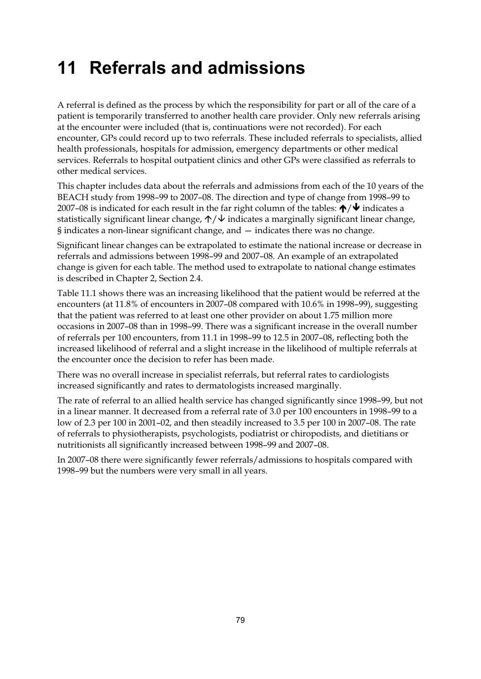## **11 Referrals and admissions**

A referral is defined as the process by which the responsibility for part or all of the care of a patient is temporarily transferred to another health care provider. Only new referrals arising at the encounter were included (that is, continuations were not recorded). For each encounter, GPs could record up to two referrals. These included referrals to specialists, allied health professionals, hospitals for admission, emergency departments or other medical services. Referrals to hospital outpatient clinics and other GPs were classified as referrals to other medical services.

This chapter includes data about the referrals and admissions from each of the 10 years of the BEACH study from 1998–99 to 2007–08. The direction and type of change from 1998–99 to 2007-08 is indicated for each result in the far right column of the tables:  $\bigtriangleup/\bigvee$  indicates a statistically significant linear change,  $\uparrow/\downarrow$  indicates a marginally significant linear change, § indicates a non-linear significant change, and — indicates there was no change.

Significant linear changes can be extrapolated to estimate the national increase or decrease in referrals and admissions between 1998–99 and 2007–08. An example of an extrapolated change is given for each table. The method used to extrapolate to national change estimates is described in Chapter 2, Section 2.4.

Table 11.1 shows there was an increasing likelihood that the patient would be referred at the encounters (at 11.8% of encounters in 2007–08 compared with 10.6% in 1998–99), suggesting that the patient was referred to at least one other provider on about 1.75 million more occasions in 2007–08 than in 1998–99. There was a significant increase in the overall number of referrals per 100 encounters, from 11.1 in 1998–99 to 12.5 in 2007–08, reflecting both the increased likelihood of referral and a slight increase in the likelihood of multiple referrals at the encounter once the decision to refer has been made.

There was no overall increase in specialist referrals, but referral rates to cardiologists increased significantly and rates to dermatologists increased marginally.

The rate of referral to an allied health service has changed significantly since 1998–99, but not in a linear manner. It decreased from a referral rate of 3.0 per 100 encounters in 1998–99 to a low of 2.3 per 100 in 2001–02, and then steadily increased to 3.5 per 100 in 2007–08. The rate of referrals to physiotherapists, psychologists, podiatrist or chiropodists, and dietitians or nutritionists all significantly increased between 1998–99 and 2007–08.

In 2007–08 there were significantly fewer referrals/admissions to hospitals compared with 1998–99 but the numbers were very small in all years.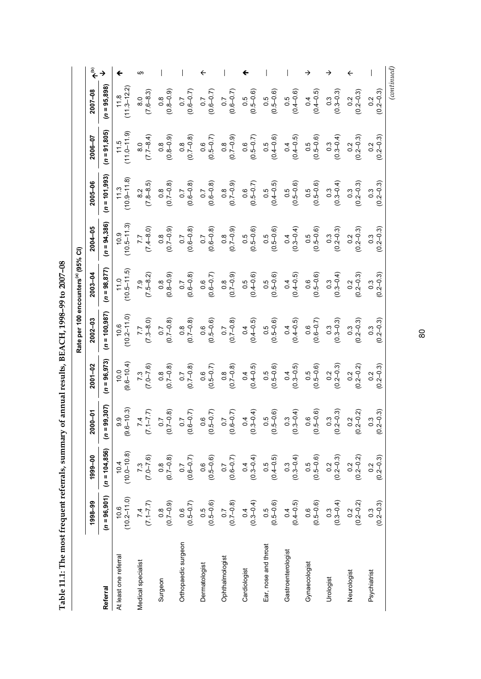Table 11.1: The most frequent referrals, summary of annual results, BEACH, 1998-99 to 2007-08 **Table 11.1: The most frequent referrals, summary of annual results, BEACH, 1998–99 to 2007–08** 

**(b)**  $\overline{\phantom{a}}$ §  $\overline{\phantom{a}}$  $\overline{\phantom{a}}$  $\leftarrow$  $\overline{\phantom{a}}$  $\overline{\phantom{a}}$  $\rightarrow$  $\overline{\phantom{a}}$ →  $\blacklozenge$  $\overline{\phantom{m}}$ →  $\overline{\leftarrow}$ Referral (n = 96,903) (n = 96,901) (n = 96,971) (n = 96,972) (n = 96,972) (n = 96,972) (n = 95,872) (n = 95,872) (n = 95,872) (n = 95,872) (n = 95,872) (n = 95,892)  $11.8$ <br> $(11.3 - 12.2)$  $(n = 95,898)$  $(11.3 - 12.2)$ (0.8–0.9) (0.6–0.7)  $(0.6-0.7)$ (0.6–0.7) (0.5–0.6) (0.5–0.6)  $(0.4 - 0.5)$ (0.3–0.3)  $(0.2 - 0.3)$  $(0.2 - 0.3)$  $2007 - 08$ (7.6–8.3) (0.4–0.6) **1998–99 1999–00 2000–01 2001–02 2002–03 2003–04 2004–05 2005–06 2006–07 2007–08** 8.0 0.5 0.4 0.8 0.3 0.7 0.7  $\overline{0}$ 0.5 0.5  $\frac{2}{2}$  $\tilde{c}$  $(n = 91, 805)$  $(11.5$ <br> $(11.0 - 11.9)$  $(11.0 - 11.9)$ (7.7–8.4) (0.4–0.6)  $(0.4 - 0.5)$ (0.5–0.6) (0.3–0.4)  $(0.8 - 0.9)$ (0.7–0.8) (0.5–0.7)  $(0.7-0.9)$  $(0.5 - 0.7)$  $(0.2 - 0.3)$  $(0.2 - 0.3)$ 2006-07 8.0 0.8 0.2  $\frac{8}{5}$  $\frac{6}{5}$  $\frac{8}{5}$  $\frac{6}{5}$ 0.5  $\overline{0}$ 0.5 0.3  $\tilde{c}$  $(n = 101, 993)$  $11.3$ <br> $(10.9 - 11.8)$  $(10.9 - 11.8)$ (7.8–8.5) (0.6–0.8) (0.6–0.8) (0.5–0.7)  $(0.4 - 0.5)$ (0.5–0.6)  $(0.2 - 0.3)$ (0.7–0.8) (0.7–0.9)  $0.3 - 0.4$ )  $2005 - 06$ (0.5–0.6)  $(0.2 - 0.3)$ 0.8 0.5 0.5 0.3 0.8 0.3  $\frac{2}{8}$ 0.7 0.7  $\frac{6}{5}$ 0.5 0.3  $(10.5 - 11.3)$  $(n = 94,386)$ (10.5–11.3)  $2004 - 05$ (7.4–8.0) (0.6–0.8)  $(0.7-0.9)$ (0.5–0.6) (0.5–0.6)  $(0.2 - 0.3)$  $(0.7-0.9)$ (0.6–0.8)  $(0.3-0.4)$ (0.5–0.6)  $(0.2 - 0.3)$  $(0.2 - 0.3)$ 7.7 0.4 0.5 0.2 0.8 0.7 0.3 0.7  $\frac{8}{5}$ 0.5 0.5 0.3 Rate per 100 encounters<sup>(a)</sup> (95% CI) Rate per 100 encounters(a) (95% CI)  $(10.5 - 11.5)$  $(n = 98, 877)$ (10.5–11.5) (7.5–8.2) (0.8–0.9) (0.6–0.8)  $(0.6-0.7)$ (0.4–0.6) (0.5–0.6)  $2003 - 04$ (0.7–0.9) (0.4–0.5) (0.5–0.6)  $(0.2 - 0.3)$  $(0.3 - 0.4)$ (0.2–0.3) 0.4 0.8 0.6 0.3 0.2 0.3 7.9  $\frac{8}{5}$ 0.7  $\frac{6}{5}$ 0.5 0.5  $(n = 100, 987)$  $10.6$ <br> $(10.2 - 11.0)$ (10.2–11.0)  $2002 - 03$ (7.3–8.0) (0.7–0.8) (0.5–0.6) (0.7–0.8)  $(0.4 - 0.5)$ (0.5–0.6) (0.6–0.7) (0.3–0.3)  $(0.2 - 0.3)$  $(0.2 - 0.3)$ (0.7–0.8)  $(0.4 - 0.5)$ 7.7 0.4 0.7  $\frac{8}{5}$  $\frac{6}{5}$ 0.7  $\overline{0}$ 0.5  $\frac{6}{5}$ 0.3 0.3 0.3  $(n = 96, 973)$  $(9.6 - 10.0)$  $(9.6 - 10.4)$  $(0.2 - 0.3)$ (7.0–7.6) (0.7–0.8) (0.5–0.7) (0.7–0.8)  $(0.4 - 0.5)$ (0.5–0.6) (0.3–0.5)  $(0.2 - 0.2)$  $(0.2 - 0.3)$ 2001-02  $(0.7-0.8)$ (0.5–0.6) 0.4 0.5 0.8 0.2 7.3  $\overline{C}$  $\frac{6}{5}$  $\frac{8}{5}$  $\overline{0}$ 0.5  $\frac{2}{2}$  $\frac{2}{2}$  $(n = 99, 307)$  $(9.6 - 10.3)$  $(9.6 - 10.3)$ (0.6–0.7) (0.5–0.7) (0.6–0.7) (0.3–0.4) (0.5–0.6) (0.3–0.4) (0.5–0.6)  $(0.2 - 0.3)$  $(0.2 - 0.2)$  $(0.2 - 0.3)$  $2000 - 01$ (7.1–7.7) (0.7–0.8) 9.9 7.4 0.7  $\overline{0}$  $\frac{6}{5}$ 0.7  $\overline{0}$ 0.5 0.3  $\frac{6}{5}$ 0.3  $\frac{2}{2}$ 0.3  $(n = 104, 856)$  $10.4$ <br> $(10.0-10.8)$  $(10.0 - 10.8)$ (7.0–7.6) (0.6–0.7) (0.5–0.6) (0.6–0.7) (0.3–0.4)  $(0.4-0.5)$  $(0.2 - 0.3)$  $(0.2 - 0.2)$  $(0.3 - 0.4)$ (0.5–0.6)  $(0.2 - 0.3)$ 1999-00 (0.7–0.8) 0.3 0.5 0.8  $\frac{2}{2}$  $\frac{2}{2}$ 0.2 7.3  $\overline{0}$  $\frac{6}{5}$  $\overline{0}$  $\overline{0}$ 0.5  $(n = 96, 901)$  $10.6$ <br> $(10.2-11.0)$ (10.2–11.0) (7.1–7.7)  $(0.5-0.7)$  $(0.5-0.6)$  $(0.7-0.8)$  $(0.3-0.4)$  $(0.5-0.6)$  $(0.3-0.4)$  $(0.3$ <br> $(0.2-0.3)$ 1998-99 (0.7–0.9) (0.4–0.5) (0.5–0.6)  $(0.2$ <br>(0.2–0.2)  $0.4$  $0.6$ At least one referral 10.6  $\overline{0}$ .8 Medical specialist 7.4 Surgeon 0.8 Orthopaedic surgeon 0.6 Dermatologist 0.5 Ophthalmologist 0.7 Cardiologist 0.4 Ear, nose and throat 0.5 Gastroenterologist 0.4 Gynaecologist 0.6 Urologist 0.3 Neurologist 0.2 Psychiatrist 0.3 Orthopaedic surgeon Ear, nose and throat Gastroenterologist At least one referral Ophthalmologist Medical specialist Gynaecologist Dermatologist Cardiologist Neurologist Psychiatrist Urologist Surgeon Referral

*(continued)*

80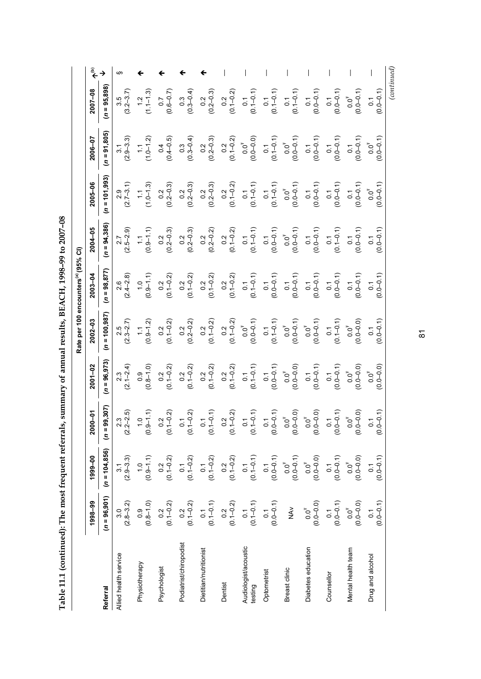| $\frac{1}{2}$            |
|--------------------------|
| $\overline{\phantom{a}}$ |
|                          |
|                          |
|                          |
|                          |
|                          |
|                          |
|                          |
|                          |
|                          |
|                          |
|                          |
|                          |
|                          |
|                          |
|                          |
|                          |
|                          |
|                          |
|                          |
|                          |
|                          |
|                          |
| ند<br>H<br>į             |
|                          |

|                                 |                                                  |                                                   |                                                  |                                                                                | Rate per 100 encounters <sup>(a)</sup> (95% CI)                                                |                                                          |                                                                              |                                                                                                                               |                           |                                                       |                        |
|---------------------------------|--------------------------------------------------|---------------------------------------------------|--------------------------------------------------|--------------------------------------------------------------------------------|------------------------------------------------------------------------------------------------|----------------------------------------------------------|------------------------------------------------------------------------------|-------------------------------------------------------------------------------------------------------------------------------|---------------------------|-------------------------------------------------------|------------------------|
|                                 | 1998-99                                          | 1999-00                                           | 2000-01                                          | $2001 - 02$                                                                    | $2002 - 03$                                                                                    | 2003-04                                                  | $2004 - 05$                                                                  | 2005-06                                                                                                                       | 2006-07                   | 2007-08                                               | $\hat{\bar{\epsilon}}$ |
| Referral                        | $(n = 96, 901)$                                  | $(n = 104, 856)$                                  | $(n = 99, 307)$                                  | $(n = 96, 973)$                                                                | $(n = 100, 987)$                                                                               | $(n = 98, 877)$                                          | $n = 94,386$                                                                 | $(n = 101, 993)$                                                                                                              | $(n = 91, 805)$           | $(n = 95,898)$                                        |                        |
| Allied health service           | $(2.8 - 3.2)$                                    | $(2.9 - 3.3)$                                     | $(2.2 - 2.5)$                                    | $(2.1 - 2.4)$                                                                  | $(2.3 - 2.7)$                                                                                  | $(2.4 - 2.8)$                                            | $(2.5 - 2.9)$                                                                | $(2.7-3.1)$                                                                                                                   | $(2.9 - 3.3)$             | $3.5$<br>(3.2–3.7)                                    |                        |
| Physiotherapy                   | $(0.8 - 1.0)$                                    | $(0.9 - 1.1)$                                     | $(0.9 - 1.1)$                                    | $(0.8 - 1.0)$                                                                  | $(0.9 - 1.2)$                                                                                  | $(0.9 - 1.1)$                                            | $(0.9 - 1.1)$                                                                | $(1.0 - 1.3)$                                                                                                                 | $(1.0-1.2)$               | $1, 1$<br>$(1, -1, 3)$                                |                        |
| Psychologist                    | $0.2$<br>(0.1–0.2)                               | $0.2$<br>(0.1-0.2)                                | $0.2$<br>(0.1–0.2)                               | $0.2$<br>(0.1–0.2)                                                             | $0.2$<br>(0.1-0.2)                                                                             | $0.2$<br>(0.1-0.2)                                       | $\begin{array}{c} 0.2 \\ 0.2 - 0.3 \end{array}$                              | $\frac{0.2}{(0.2 - 0.3)}$                                                                                                     | $0.4$<br>(0.4–0.5)        | $(0.6 - 0.7)$                                         |                        |
| Podiatrist/chiropodist          | $0.2$<br>(0.1–0.2)                               | $0.1$<br>(0.1-0.2)                                | $\begin{pmatrix} 0.1 \\ 0.1 - 0.2 \end{pmatrix}$ | $\begin{array}{c} 0.2 \\ 0.1 - 0.2 \end{array}$                                | $\begin{pmatrix} 0.2 \\ 0.2 - 0.2 \end{pmatrix}$                                               | $0.2$<br>(0.1-0.2)                                       | $\begin{array}{c} 0.2 \\ 0.2 - 0.3 \end{array}$                              | $\begin{array}{c} 0.2 \\ 0.2-0.3 \end{array}$                                                                                 | $0.3$<br>(0.3–0.4)        | $\begin{array}{c} 0.3 \\ (0.3{\rm -}0.4) \end{array}$ |                        |
| Dietitian/nutritionist          | $\begin{pmatrix} 0.1 \\ -0.1 \end{pmatrix}$      | $\begin{pmatrix} 0.1 \\ 0.1 - 0.2 \end{pmatrix}$  | $\begin{pmatrix} 0.1 \\ 0.1 - 0.1 \end{pmatrix}$ | $0.2$<br>(0.1–0.2)                                                             | $0.2$<br>(0.1–0.2)                                                                             | $\begin{array}{c} 0.2 \\ 0.1 - 0.2 \end{array}$          | $\begin{array}{c} 0.2 \\ 0.2 - 0.2 \end{array}$                              | $\begin{array}{c} 0.2 \\ 0.2 - 0.3 \end{array}$                                                                               | $\frac{0.2}{(0.2 - 0.3)}$ | $\begin{array}{c} 0.2 \\ 0.2 - 0.3 \end{array}$       |                        |
| Dentist                         | $\begin{pmatrix} 0.2 \\ 0.1 - 0.2 \end{pmatrix}$ | $\begin{array}{c} 0.2 \\ (0.1 - 0.2) \end{array}$ | $0.2$<br>(0.1-0.2)                               |                                                                                |                                                                                                |                                                          |                                                                              |                                                                                                                               | $0.2$<br>(0.1–0.2)        |                                                       |                        |
| Audiologist/acoustic<br>testing | $0.1$<br>(0.1-0.1)                               | $\begin{array}{c} 0.1 \\ 0.1 - 0.1 \end{array}$   | $\begin{pmatrix} 0.1 \\ 0.1 - 0.1 \end{pmatrix}$ | $(0.1 - 0.2)$<br>$(0.1 - 0.2)$<br>$(0.1 - 0.1)$                                | $\begin{array}{c} 0.2 \\ (0.1\hbox{--}0.2) \\ 0.0^{\text{T}} \\ (0.0\hbox{--}0.1) \end{array}$ | $(0.1 - 0.2)$<br>$(0.1 - 0.2)$<br>$0.1$<br>$(0.1 - 0.1)$ | $(0.1 - 0.2)$<br>$(0.1 - 0.2)$<br>$(0.1 - 0.1)$                              | $(0.1 - 0.2)$<br>$(0.1 - 0.2)$<br>$(0.1 - 0.1)$                                                                               | $0.0^{T}$<br>(0.0–0.0)    | $(0, 1 - 0.2)$<br>$(0, 1 - 0.2)$<br>$(0, 1 - 0.1)$    |                        |
| Optometrist                     | $(0.0 - 0.1)$                                    | $(0.0 - 0.1)$                                     | $(0.0 - 0.1)$                                    |                                                                                |                                                                                                |                                                          |                                                                              |                                                                                                                               | $(0.1 - 0.1)$             | $(0.1 - 0.1)$                                         |                        |
| Breast clinic                   | $\sum_{i=1}^{n}$                                 | $0.0^{T}$<br>(0.0–0.1)                            | $0.0^{T}$<br>(0.0–0.0)                           | $\begin{array}{c} 0.1 \\ (0.0-0.1) \\ 0.0^\mathsf{T} \\ (0.0-0.0) \end{array}$ | $(0.1 - 0.1)$<br>$(0.1 - 0.1)$<br>$0.0^{\dagger}$<br>$(0.0 - 0.1)$                             | $(0.0-0.1)$<br>$(0.0-0.1)$<br>$(0.0-0.1)$                | $\begin{pmatrix} 0.1 \\ 0.0 - 0.1 \\ 0.0^\dagger \\ 0.0 - 0.1 \end{pmatrix}$ |                                                                                                                               | $0.0^{T}$<br>(0.0–0.1)    | $(0.1 - 0.1)$                                         |                        |
| Diabetes education              | $0.0^{T}$<br>(0.0–0.0)                           | $0.0^{T}$<br>(0.0–0.0)                            | $0.0^{T}$<br>(0.0–0.0)                           | $(0.0 - 0.1)$                                                                  | $0.0^{T}$<br>(0.0–0.1)                                                                         | $(0.0 - 0.1)$                                            | $\begin{array}{c} 0.1 \\ 0.0 - 0.1 \end{array}$                              | $\begin{array}{c} 0.1 \\ (0.1\text{--}0.1) \\ 0.0 \\ (0.0\text{--}0.1) \\ (0.0\text{--}0.1) \\ (0.0\text{--}0.1) \end{array}$ | $(0.0 - 0.1)$             | $(0.0 - 0.1)$                                         |                        |
| Counsellor                      | $0.1$<br>(0.0–0.1)                               | $0.1$<br>(0.0-0.1)                                | $(0.0 - 0.1)$                                    | $\begin{array}{c} 0.1 \\ (0.0-0.1) \\ 0.0^\dagger \\ (0.0-0.0) \end{array}$    |                                                                                                |                                                          | $(0.1 - 0.1)$                                                                | $(0.0-0.1)$<br>$(0.0-0.1)$<br>$(0.0-0.1)$                                                                                     | $(0.0 - 0.1)$             | $(0.0 - 0.1)$                                         |                        |
| Mental health team              | $0.0^{T}$<br>(0.0–0.0)                           | $0.0^{T}$<br>(0.0–0.0)                            | $0.0^{T}$<br>(0.0–0.0)                           |                                                                                | $\begin{array}{c} 0.1 \\ (0.1\text{--}0.1) \\ 0.0^{\text{T}} \\ (0.0\text{--}0.0) \end{array}$ | $(0.0-0.1)$<br>$(0.0-0.1)$<br>$(0.0-0.1)$                | $(0.0 - 0.1)$                                                                |                                                                                                                               | $(0.0 - 0.1)$             | $0.0^{T}$<br>(0.0–0.1)                                |                        |
| Drug and alcohol                | $(0.0 - 0.1)$<br>$\overline{0}$                  | $(0.0 - 0.1)$<br>$\overline{0}$ .                 | $(0.0 - 0.1)$                                    | $0.0^{T}$<br>(0.0–0.0)                                                         | $(0.0 - 0.1)$                                                                                  | $0.0 - 0.1$<br>$\overline{0}$ .                          | $0.0 - 0.1$                                                                  | $(1, 0 - 0.1)$<br>$0.0^{\dagger}$                                                                                             | $0.0^{T}$<br>(0.0–0.1)    | $(0.0 - 0.1)$                                         |                        |
|                                 |                                                  |                                                   |                                                  |                                                                                |                                                                                                |                                                          |                                                                              |                                                                                                                               |                           | (continued)                                           |                        |

81<br>81